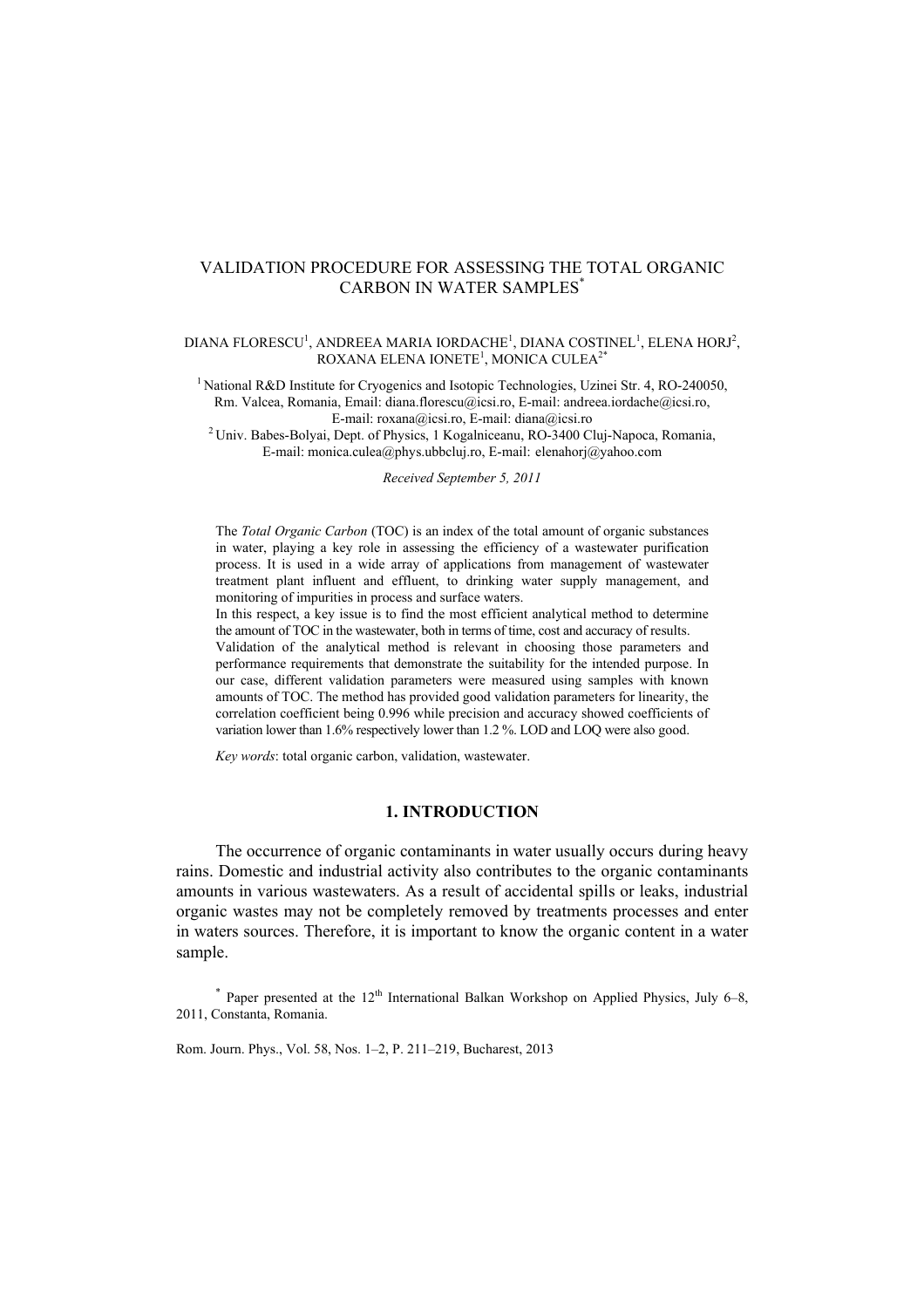# VALIDATION PROCEDURE FOR ASSESSING THE TOTAL ORGANIC CARBON IN WATER SAMPLES\*

#### DIANA FLORESCU<sup>1</sup>, ANDREEA MARIA IORDACHE<sup>1</sup>, DIANA COSTINEL<sup>1</sup>, ELENA HORJ<sup>2</sup>, ROXANA ELENA IONETE $^1$ , MONICA CULEA $^{2^\ast}$

<sup>1</sup> National R&D Institute for Cryogenics and Isotopic Technologies, Uzinei Str. 4, RO-240050, Rm. Valcea, Romania, Email: diana.florescu@icsi.ro, E-mail: andreea.iordache@icsi.ro,

E-mail: roxana@icsi.ro, E-mail: diana@icsi.ro 2 Univ. Babes-Bolyai, Dept. of Physics, 1 Kogalniceanu, RO-3400 Cluj-Napoca, Romania, E-mail: monica.culea@phys.ubbcluj.ro, E-mail: elenahorj@yahoo.com

*Received September 5, 2011* 

The *Total Organic Carbon* (TOC) is an index of the total amount of organic substances in water, playing a key role in assessing the efficiency of a wastewater purification process. It is used in a wide array of applications from management of wastewater treatment plant influent and effluent, to drinking water supply management, and monitoring of impurities in process and surface waters.

In this respect, a key issue is to find the most efficient analytical method to determine the amount of TOC in the wastewater, both in terms of time, cost and accuracy of results.

Validation of the analytical method is relevant in choosing those parameters and performance requirements that demonstrate the suitability for the intended purpose. In our case, different validation parameters were measured using samples with known amounts of TOC. The method has provided good validation parameters for linearity, the correlation coefficient being 0.996 while precision and accuracy showed coefficients of variation lower than 1.6% respectively lower than 1.2 %. LOD and LOQ were also good.

*Key words*: total organic carbon, validation, wastewater.

# **1. INTRODUCTION**

The occurrence of organic contaminants in water usually occurs during heavy rains. Domestic and industrial activity also contributes to the organic contaminants amounts in various wastewaters. As a result of accidental spills or leaks, industrial organic wastes may not be completely removed by treatments processes and enter in waters sources. Therefore, it is important to know the organic content in a water sample.

 $*$  Paper presented at the 12<sup>th</sup> International Balkan Workshop on Applied Physics, July 6–8, 2011, Constanta, Romania.

Rom. Journ. Phys., Vol. 58, Nos. 1–2, P. 211–219, Bucharest, 2013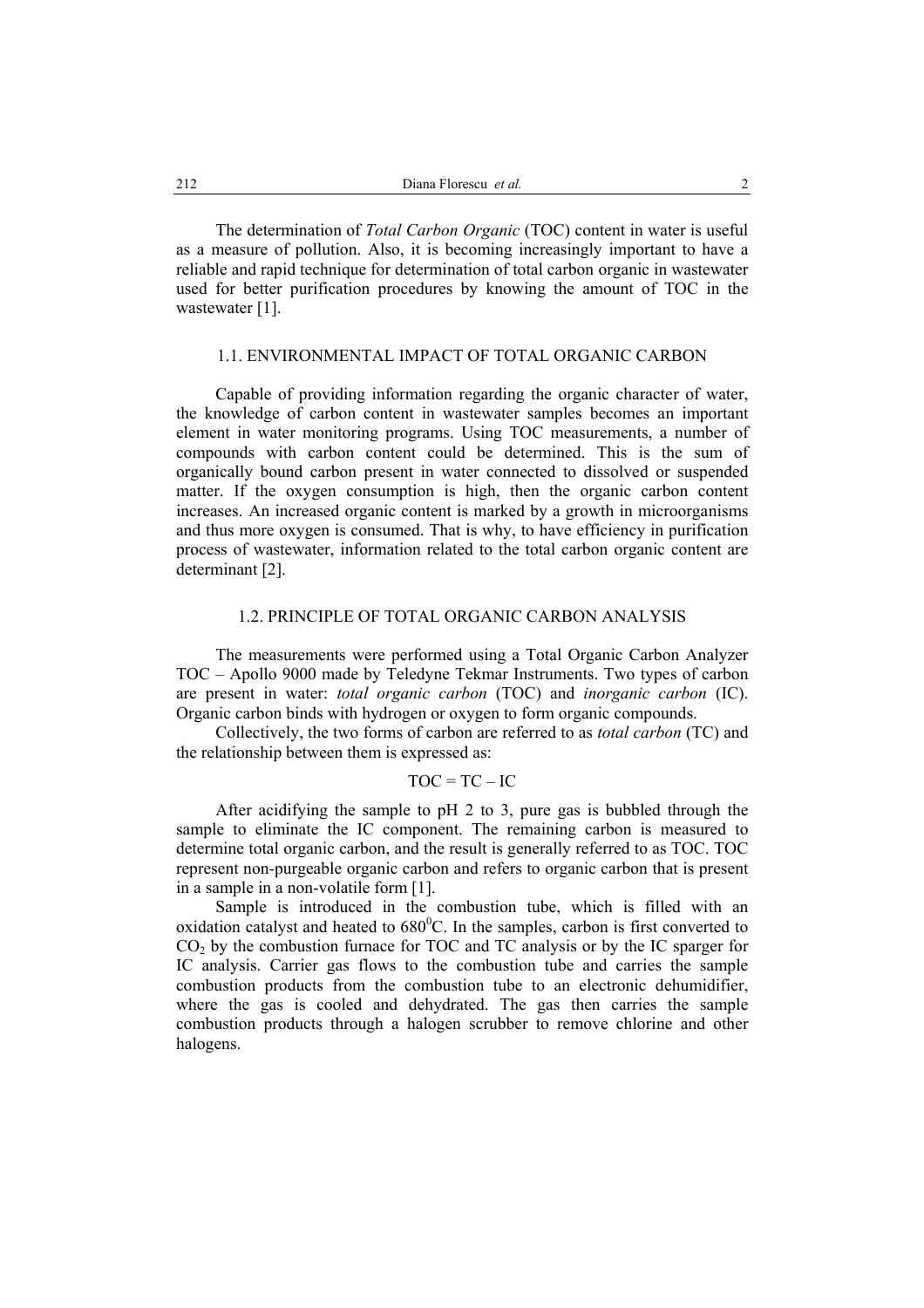The determination of *Total Carbon Organic* (TOC) content in water is useful as a measure of pollution. Also, it is becoming increasingly important to have a reliable and rapid technique for determination of total carbon organic in wastewater used for better purification procedures by knowing the amount of TOC in the wastewater [1].

# 1.1. ENVIRONMENTAL IMPACT OF TOTAL ORGANIC CARBON

Capable of providing information regarding the organic character of water, the knowledge of carbon content in wastewater samples becomes an important element in water monitoring programs. Using TOC measurements, a number of compounds with carbon content could be determined. This is the sum of organically bound carbon present in water connected to dissolved or suspended matter. If the oxygen consumption is high, then the organic carbon content increases. An increased organic content is marked by a growth in microorganisms and thus more oxygen is consumed. That is why, to have efficiency in purification process of wastewater, information related to the total carbon organic content are determinant [2].

## 1.2. PRINCIPLE OF TOTAL ORGANIC CARBON ANALYSIS

The measurements were performed using a Total Organic Carbon Analyzer TOC – Apollo 9000 made by Teledyne Tekmar Instruments. Two types of carbon are present in water: *total organic carbon* (TOC) and *inorganic carbon* (IC). Organic carbon binds with hydrogen or oxygen to form organic compounds.

Collectively, the two forms of carbon are referred to as *total carbon* (TC) and the relationship between them is expressed as:

## $TOC = TC - IC$

After acidifying the sample to pH 2 to 3, pure gas is bubbled through the sample to eliminate the IC component. The remaining carbon is measured to determine total organic carbon, and the result is generally referred to as TOC. TOC represent non-purgeable organic carbon and refers to organic carbon that is present in a sample in a non-volatile form [1].

Sample is introduced in the combustion tube, which is filled with an oxidation catalyst and heated to  $680^{\circ}$ C. In the samples, carbon is first converted to CO2 by the combustion furnace for TOC and TC analysis or by the IC sparger for IC analysis. Carrier gas flows to the combustion tube and carries the sample combustion products from the combustion tube to an electronic dehumidifier, where the gas is cooled and dehydrated. The gas then carries the sample combustion products through a halogen scrubber to remove chlorine and other halogens.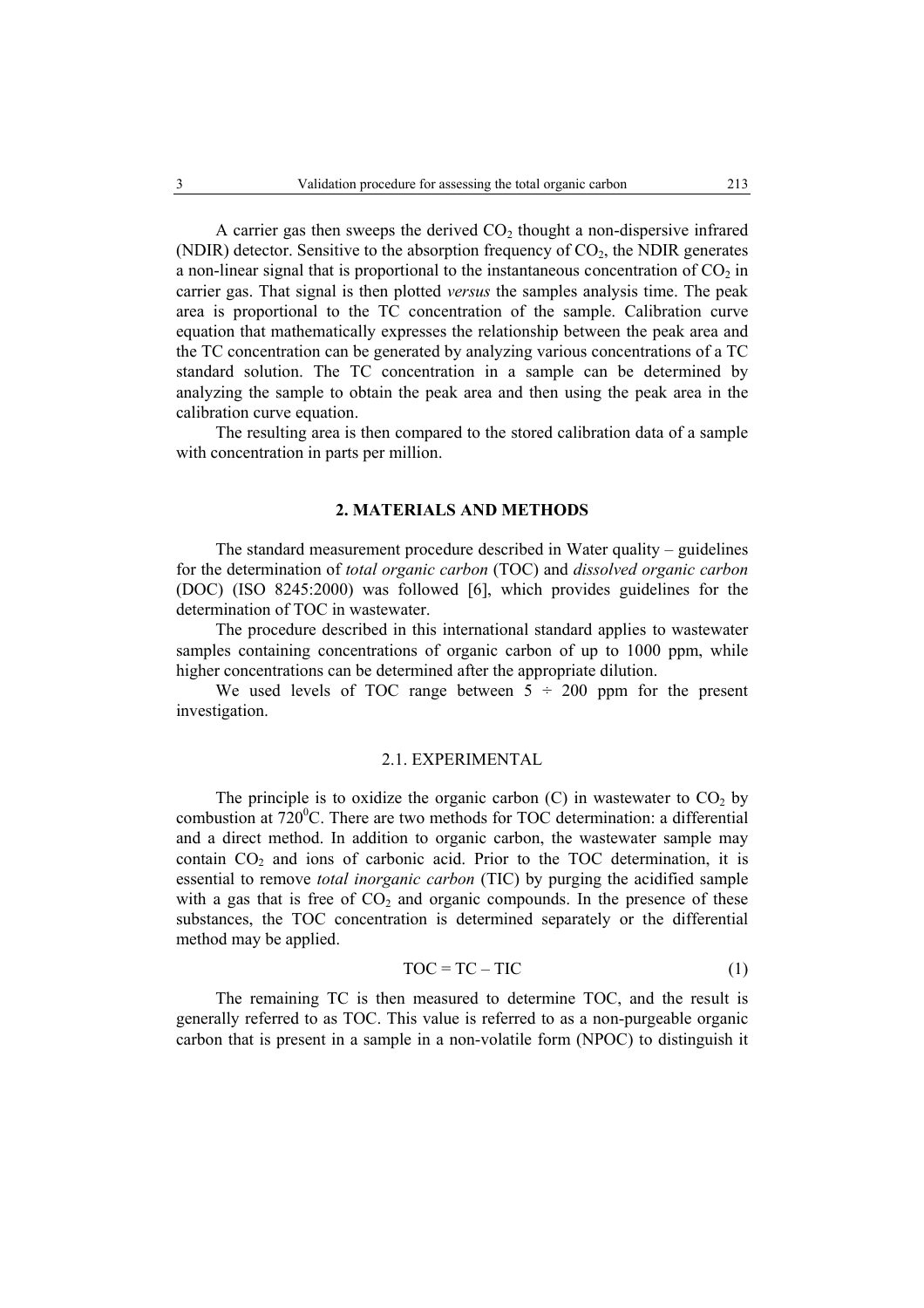A carrier gas then sweeps the derived  $CO<sub>2</sub>$  thought a non-dispersive infrared (NDIR) detector. Sensitive to the absorption frequency of  $CO<sub>2</sub>$ , the NDIR generates a non-linear signal that is proportional to the instantaneous concentration of  $CO<sub>2</sub>$  in carrier gas. That signal is then plotted *versus* the samples analysis time. The peak area is proportional to the TC concentration of the sample. Calibration curve equation that mathematically expresses the relationship between the peak area and the TC concentration can be generated by analyzing various concentrations of a TC standard solution. The TC concentration in a sample can be determined by analyzing the sample to obtain the peak area and then using the peak area in the calibration curve equation.

The resulting area is then compared to the stored calibration data of a sample with concentration in parts per million.

## **2. MATERIALS AND METHODS**

The standard measurement procedure described in Water quality – guidelines for the determination of *total organic carbon* (TOC) and *dissolved organic carbon* (DOC) (ISO 8245:2000) was followed [6], which provides guidelines for the determination of TOC in wastewater.

The procedure described in this international standard applies to wastewater samples containing concentrations of organic carbon of up to 1000 ppm, while higher concentrations can be determined after the appropriate dilution.

We used levels of TOC range between  $5 \div 200$  ppm for the present investigation.

## 2.1. EXPERIMENTAL

The principle is to oxidize the organic carbon  $(C)$  in wastewater to  $CO<sub>2</sub>$  by combustion at  $720^{\circ}$ C. There are two methods for TOC determination: a differential and a direct method. In addition to organic carbon, the wastewater sample may contain  $CO<sub>2</sub>$  and ions of carbonic acid. Prior to the TOC determination, it is essential to remove *total inorganic carbon* (TIC) by purging the acidified sample with a gas that is free of  $CO<sub>2</sub>$  and organic compounds. In the presence of these substances, the TOC concentration is determined separately or the differential method may be applied.

$$
TOC = TC - TIC
$$
 (1)

The remaining TC is then measured to determine TOC, and the result is generally referred to as TOC. This value is referred to as a non-purgeable organic carbon that is present in a sample in a non-volatile form (NPOC) to distinguish it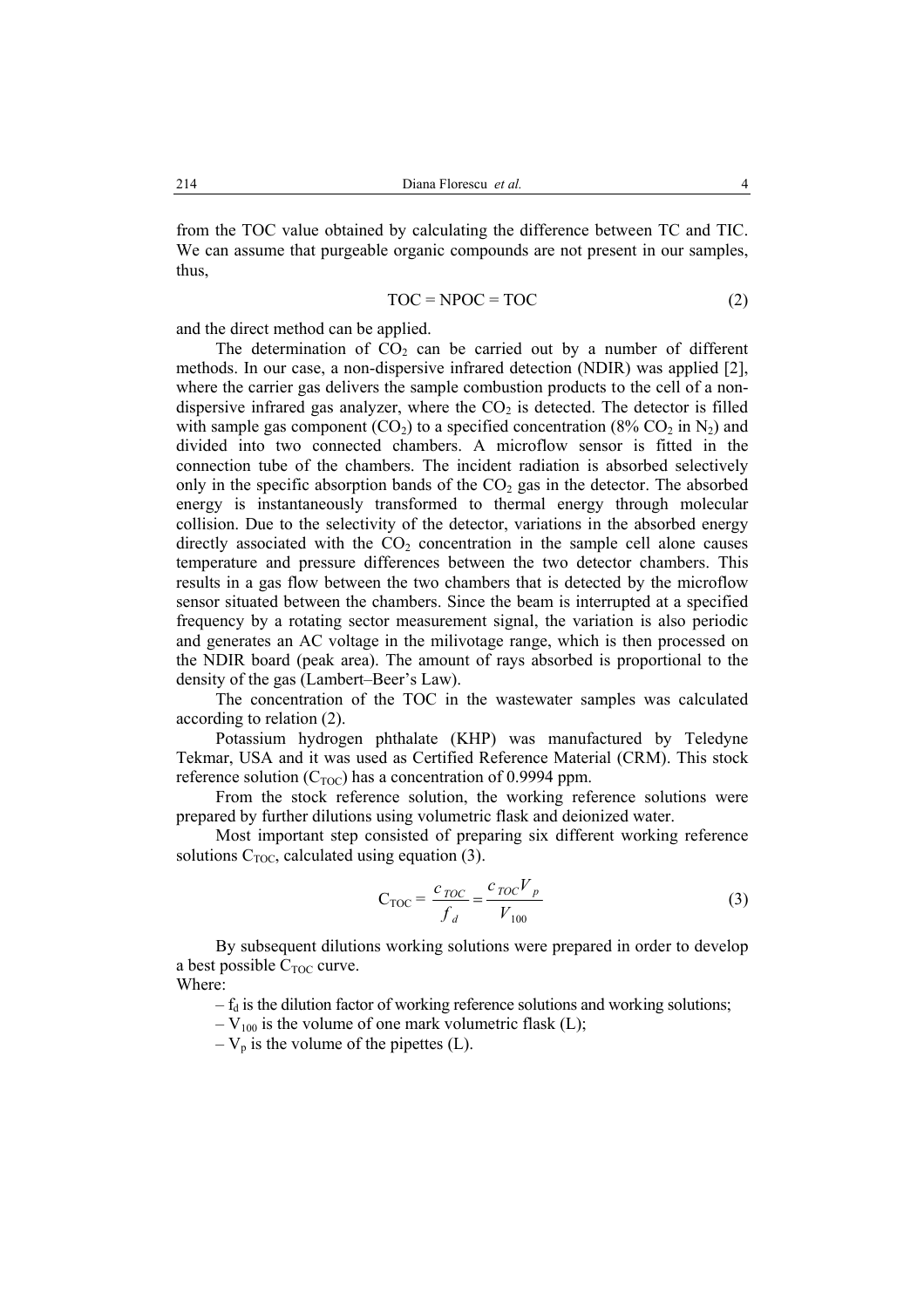from the TOC value obtained by calculating the difference between TC and TIC. We can assume that purgeable organic compounds are not present in our samples, thus,

$$
TOC = NPOC = TOC \tag{2}
$$

and the direct method can be applied.

The determination of  $CO<sub>2</sub>$  can be carried out by a number of different methods. In our case, a non-dispersive infrared detection (NDIR) was applied [2], where the carrier gas delivers the sample combustion products to the cell of a nondispersive infrared gas analyzer, where the  $CO<sub>2</sub>$  is detected. The detector is filled with sample gas component  $(CO_2)$  to a specified concentration  $(8\% \text{ CO}_2 \text{ in } N_2)$  and divided into two connected chambers. A microflow sensor is fitted in the connection tube of the chambers. The incident radiation is absorbed selectively only in the specific absorption bands of the  $CO<sub>2</sub>$  gas in the detector. The absorbed energy is instantaneously transformed to thermal energy through molecular collision. Due to the selectivity of the detector, variations in the absorbed energy directly associated with the  $CO<sub>2</sub>$  concentration in the sample cell alone causes temperature and pressure differences between the two detector chambers. This results in a gas flow between the two chambers that is detected by the microflow sensor situated between the chambers. Since the beam is interrupted at a specified frequency by a rotating sector measurement signal, the variation is also periodic and generates an AC voltage in the milivotage range, which is then processed on the NDIR board (peak area). The amount of rays absorbed is proportional to the density of the gas (Lambert–Beer's Law).

The concentration of the TOC in the wastewater samples was calculated according to relation (2).

Potassium hydrogen phthalate (KHP) was manufactured by Teledyne Tekmar, USA and it was used as Certified Reference Material (CRM). This stock reference solution  $(C_{\text{TOC}})$  has a concentration of 0.9994 ppm.

From the stock reference solution, the working reference solutions were prepared by further dilutions using volumetric flask and deionized water.

Most important step consisted of preparing six different working reference solutions  $C_{\text{TOC}}$ , calculated using equation (3).

$$
C_{\text{TOC}} = \frac{c_{\text{TOC}}}{f_d} = \frac{c_{\text{TOC}} V_p}{V_{100}}
$$
(3)

By subsequent dilutions working solutions were prepared in order to develop a best possible  $C_{\text{TOC}}$  curve. Where:

 $-f_d$  is the dilution factor of working reference solutions and working solutions;

 $-V_{100}$  is the volume of one mark volumetric flask (L);

 $-V_p$  is the volume of the pipettes (L).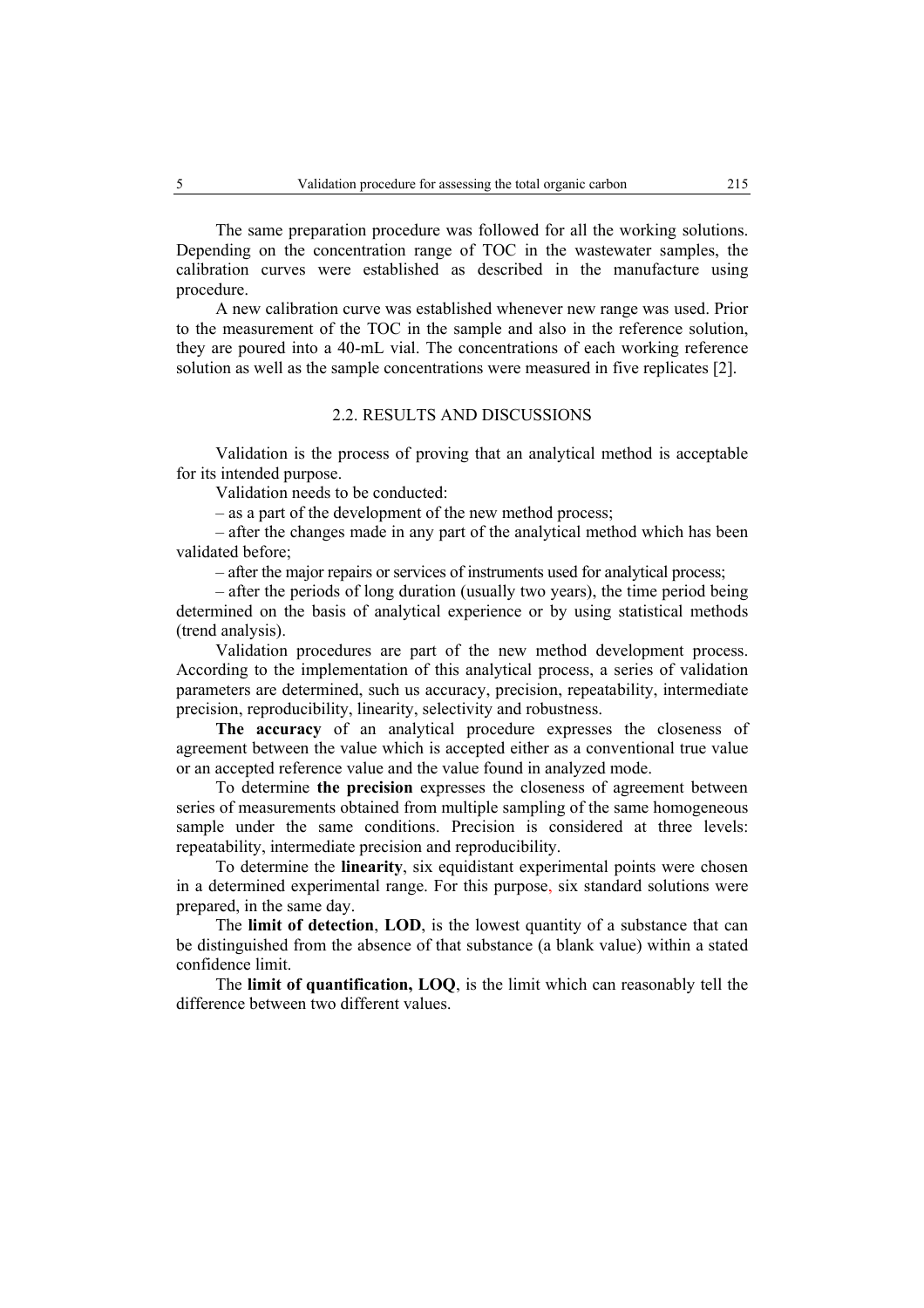The same preparation procedure was followed for all the working solutions. Depending on the concentration range of TOC in the wastewater samples, the calibration curves were established as described in the manufacture using procedure.

A new calibration curve was established whenever new range was used. Prior to the measurement of the TOC in the sample and also in the reference solution, they are poured into a 40-mL vial. The concentrations of each working reference solution as well as the sample concentrations were measured in five replicates [2].

# 2.2. RESULTS AND DISCUSSIONS

Validation is the process of proving that an analytical method is acceptable for its intended purpose.

Validation needs to be conducted:

– as a part of the development of the new method process;

– after the changes made in any part of the analytical method which has been validated before;

– after the major repairs or services of instruments used for analytical process;

– after the periods of long duration (usually two years), the time period being determined on the basis of analytical experience or by using statistical methods (trend analysis).

Validation procedures are part of the new method development process. According to the implementation of this analytical process, a series of validation parameters are determined, such us accuracy, precision, repeatability, intermediate precision, reproducibility, linearity, selectivity and robustness.

**The accuracy** of an analytical procedure expresses the closeness of agreement between the value which is accepted either as a conventional true value or an accepted reference value and the value found in analyzed mode.

To determine **the precision** expresses the closeness of agreement between series of measurements obtained from multiple sampling of the same homogeneous sample under the same conditions. Precision is considered at three levels: repeatability, intermediate precision and reproducibility.

To determine the **linearity**, six equidistant experimental points were chosen in a determined experimental range. For this purpose, six standard solutions were prepared, in the same day.

The **limit of detection**, **LOD**, is the lowest quantity of a substance that can be distinguished from the absence of that substance (a blank value) within a stated confidence limit.

The **limit of quantification, LOQ**, is the limit which can reasonably tell the difference between two different values.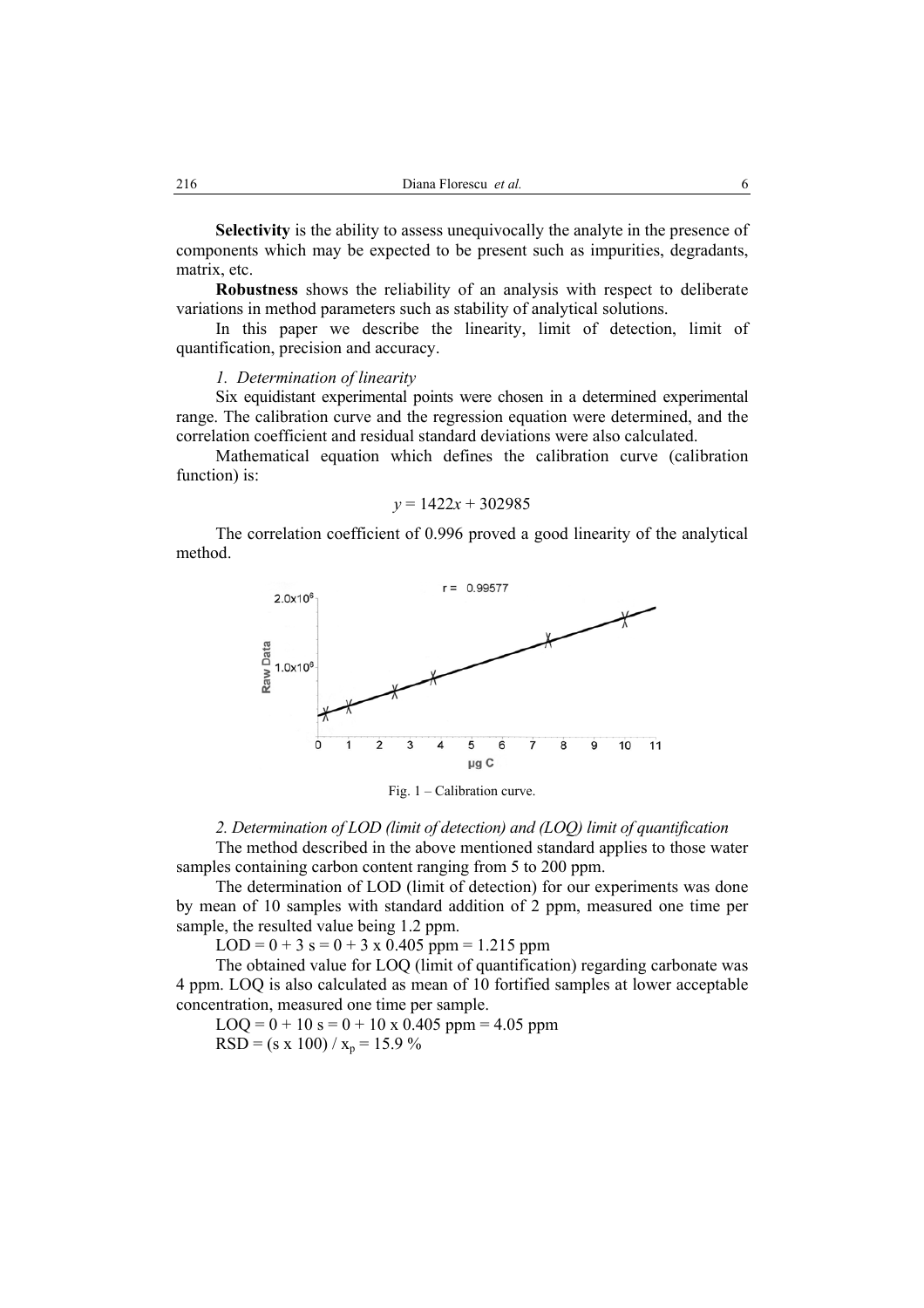**Selectivity** is the ability to assess unequivocally the analyte in the presence of components which may be expected to be present such as impurities, degradants, matrix, etc.

**Robustness** shows the reliability of an analysis with respect to deliberate variations in method parameters such as stability of analytical solutions.

In this paper we describe the linearity, limit of detection, limit of quantification, precision and accuracy.

### *1. Determination of linearity*

Six equidistant experimental points were chosen in a determined experimental range. The calibration curve and the regression equation were determined, and the correlation coefficient and residual standard deviations were also calculated.

Mathematical equation which defines the calibration curve (calibration function) is:

## $v = 1422x + 302985$

The correlation coefficient of 0.996 proved a good linearity of the analytical method.



Fig. 1 – Calibration curve.

#### *2. Determination of LOD (limit of detection) and (LOQ) limit of quantification*

The method described in the above mentioned standard applies to those water samples containing carbon content ranging from 5 to 200 ppm.

The determination of LOD (limit of detection) for our experiments was done by mean of 10 samples with standard addition of 2 ppm, measured one time per sample, the resulted value being 1.2 ppm.

 $LOD = 0 + 3$  s = 0 + 3 x 0.405 ppm = 1.215 ppm

The obtained value for LOQ (limit of quantification) regarding carbonate was 4 ppm. LOQ is also calculated as mean of 10 fortified samples at lower acceptable concentration, measured one time per sample.

 $LOQ = 0 + 10$  s = 0 + 10 x 0.405 ppm = 4.05 ppm  $RSD = (s \times 100) / x_p = 15.9 \%$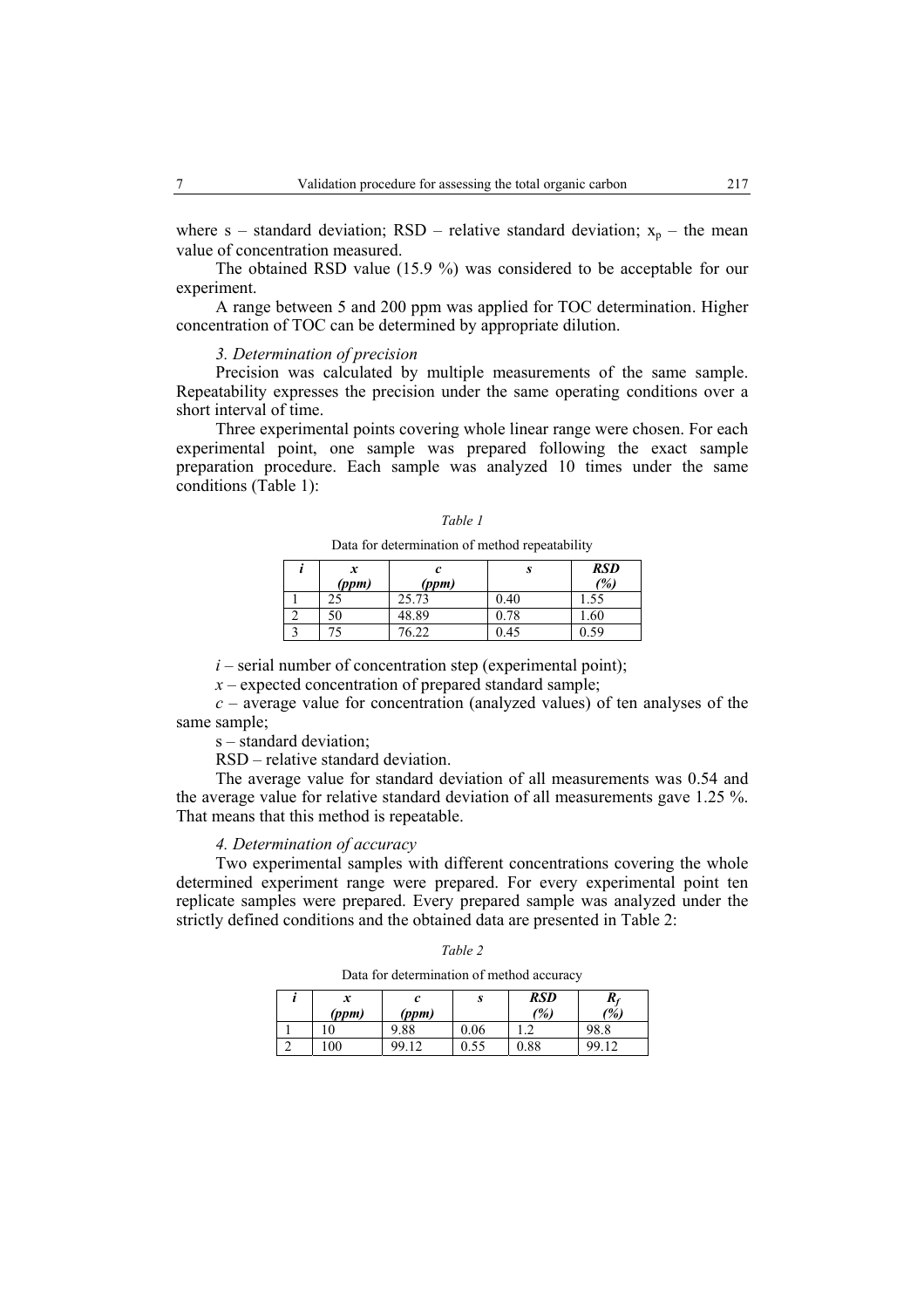where s – standard deviation; RSD – relative standard deviation;  $x_p$  – the mean value of concentration measured.

The obtained RSD value (15.9 %) was considered to be acceptable for our experiment.

A range between 5 and 200 ppm was applied for TOC determination. Higher concentration of TOC can be determined by appropriate dilution.

### *3. Determination of precision*

Precision was calculated by multiple measurements of the same sample. Repeatability expresses the precision under the same operating conditions over a short interval of time.

Three experimental points covering whole linear range were chosen. For each experimental point, one sample was prepared following the exact sample preparation procedure. Each sample was analyzed 10 times under the same conditions (Table 1):

#### *Table 1*

Data for determination of method repeatability

| x<br>(ppm) | (ppm) | S    | RSD<br>(%) |
|------------|-------|------|------------|
| د،         | 25.73 | 0.40 |            |
| 50         | 48.89 | 0.78 | 1.60       |
|            | 76 77 | 0.45 | . 59       |

 $i$  – serial number of concentration step (experimental point);

*x* – expected concentration of prepared standard sample;

*c* – average value for concentration (analyzed values) of ten analyses of the same sample;

s – standard deviation;

RSD – relative standard deviation.

The average value for standard deviation of all measurements was 0.54 and the average value for relative standard deviation of all measurements gave 1.25 %. That means that this method is repeatable.

### *4. Determination of accuracy*

Two experimental samples with different concentrations covering the whole determined experiment range were prepared. For every experimental point ten replicate samples were prepared. Every prepared sample was analyzed under the strictly defined conditions and the obtained data are presented in Table 2:

| I |  |
|---|--|
|---|--|

Data for determination of method accuracy

| x<br>(ppm) | (ppm)    | υ    | RSD<br>(%) | $R_f$<br>$\frac{1}{2}$ |
|------------|----------|------|------------|------------------------|
|            | 9.88     | 0.06 |            | 98.8                   |
| 100        | QQ<br>12 | 0.55 | $_{0.88}$  | QQ                     |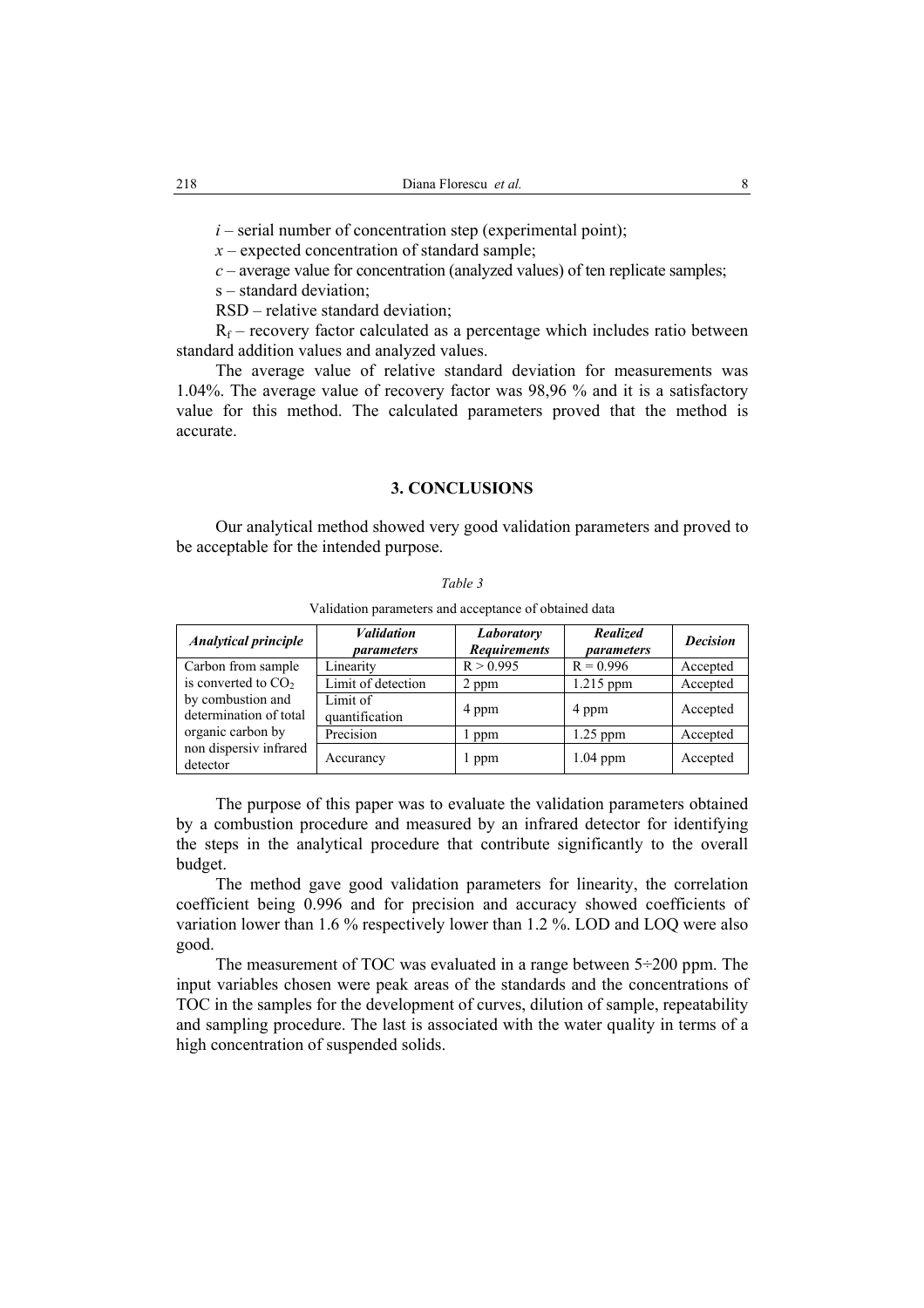$i$  – serial number of concentration step (experimental point);

*x* – expected concentration of standard sample;

*c* – average value for concentration (analyzed values) of ten replicate samples;

s – standard deviation;

RSD – relative standard deviation;

 $R_f$  – recovery factor calculated as a percentage which includes ratio between standard addition values and analyzed values.

The average value of relative standard deviation for measurements was 1.04%. The average value of recovery factor was 98,96 % and it is a satisfactory value for this method. The calculated parameters proved that the method is accurate.

## **3. CONCLUSIONS**

Our analytical method showed very good validation parameters and proved to be acceptable for the intended purpose.

Validation parameters and acceptance of obtained data

| <b>Analytical principle</b>                 | <b>Validation</b><br>parameters | Laboratory<br><b>Requirements</b> | <b>Realized</b><br>parameters | <b>Decision</b> |
|---------------------------------------------|---------------------------------|-----------------------------------|-------------------------------|-----------------|
| Carbon from sample                          | Linearity                       | R > 0.995                         | $R = 0.996$                   | Accepted        |
| is converted to $CO2$                       | Limit of detection              | 2 ppm                             | 1.215 ppm                     | Accepted        |
| by combustion and<br>determination of total | Limit of<br>quantification      | 4 ppm                             | 4 ppm                         | Accepted        |
| organic carbon by                           | Precision                       | ppm                               | $1.25$ ppm                    | Accepted        |
| non dispersiv infrared<br>detector          | Accurancy                       | l ppm                             | $1.04$ ppm                    | Accepted        |

The purpose of this paper was to evaluate the validation parameters obtained by a combustion procedure and measured by an infrared detector for identifying the steps in the analytical procedure that contribute significantly to the overall budget.

The method gave good validation parameters for linearity, the correlation coefficient being 0.996 and for precision and accuracy showed coefficients of variation lower than 1.6 % respectively lower than 1.2 %. LOD and LOQ were also good.

The measurement of TOC was evaluated in a range between 5÷200 ppm. The input variables chosen were peak areas of the standards and the concentrations of TOC in the samples for the development of curves, dilution of sample, repeatability and sampling procedure. The last is associated with the water quality in terms of a high concentration of suspended solids.